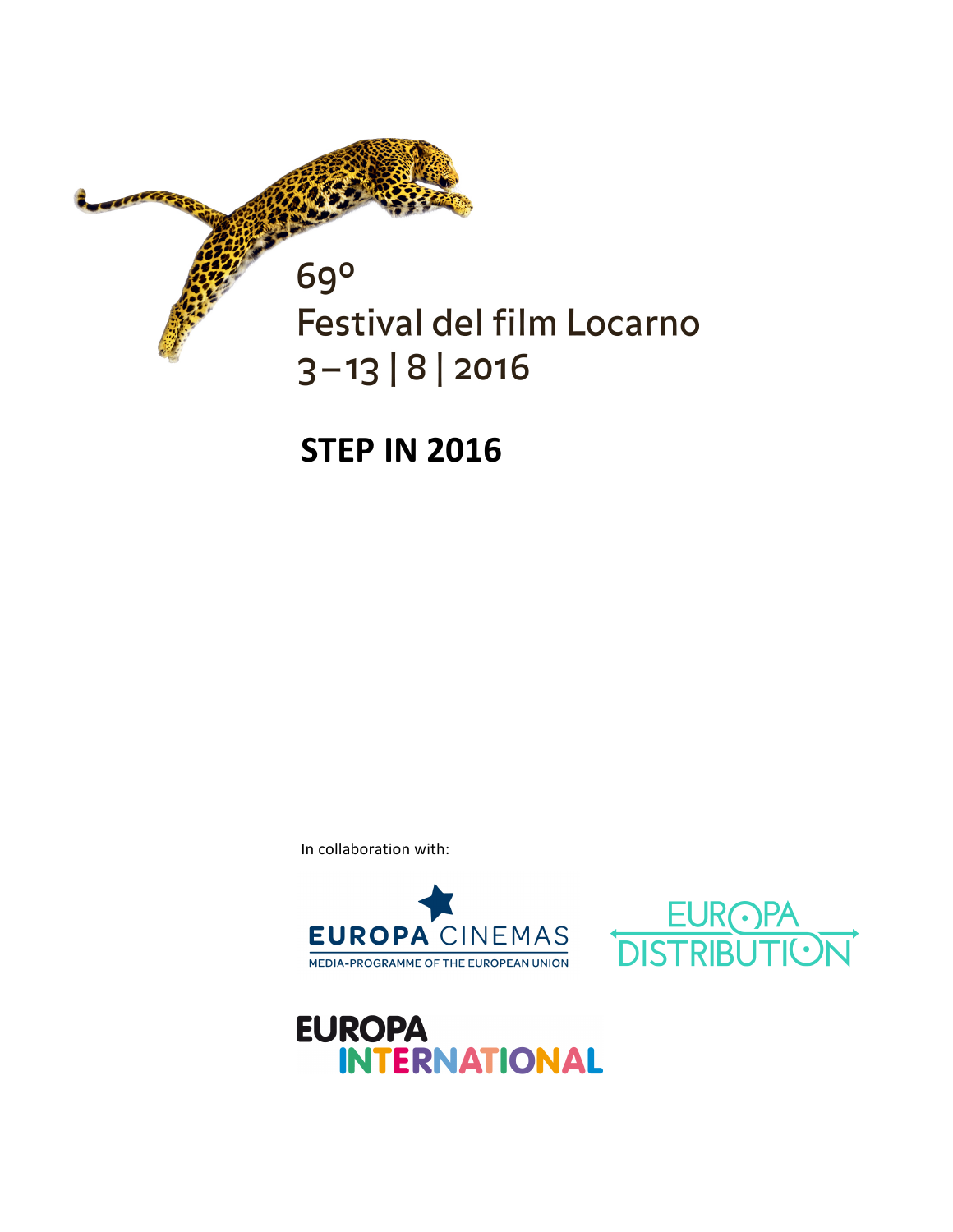

**STEP IN 2016** 

In collaboration with:





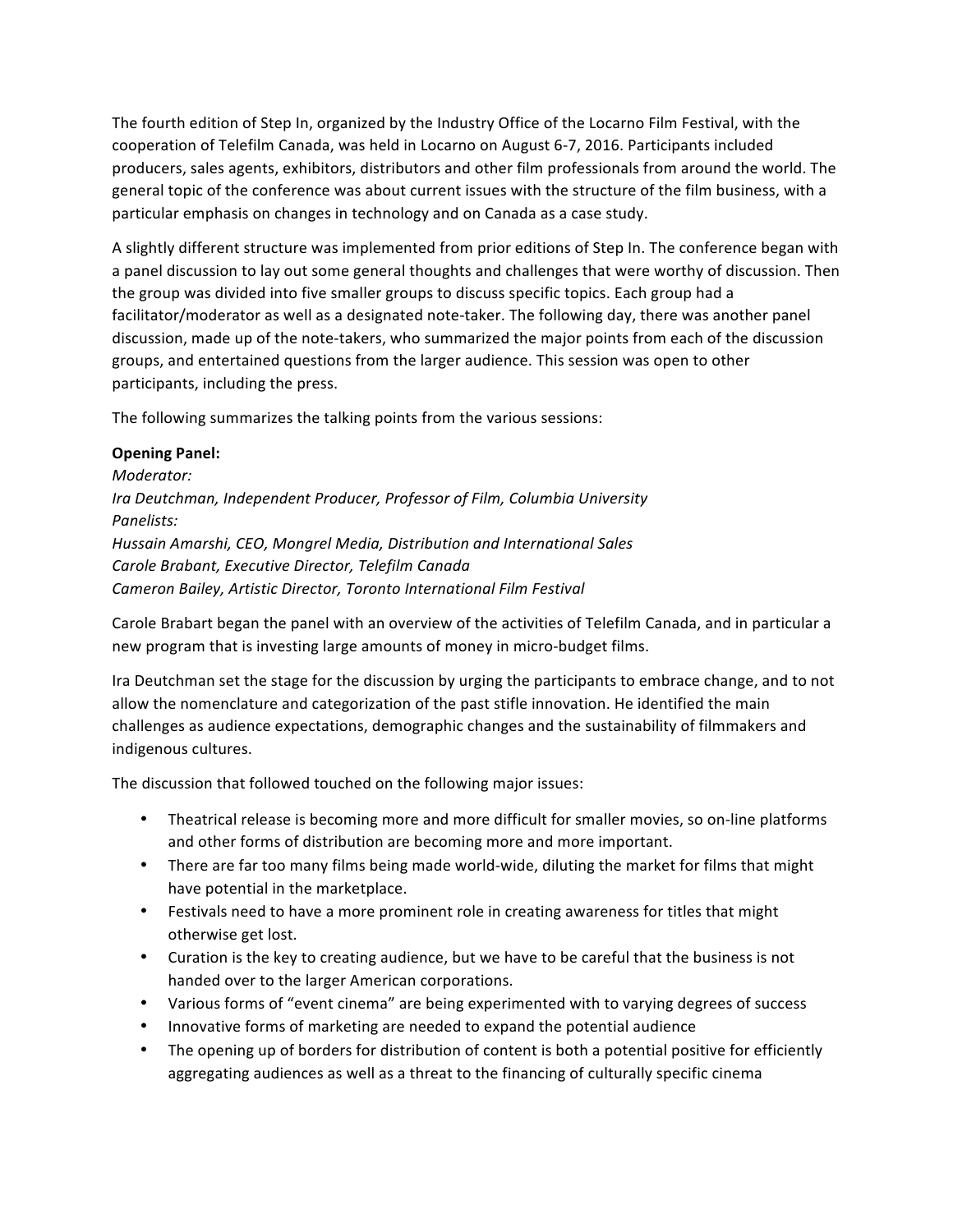The fourth edition of Step In, organized by the Industry Office of the Locarno Film Festival, with the cooperation of Telefilm Canada, was held in Locarno on August 6-7, 2016. Participants included producers, sales agents, exhibitors, distributors and other film professionals from around the world. The general topic of the conference was about current issues with the structure of the film business, with a particular emphasis on changes in technology and on Canada as a case study.

A slightly different structure was implemented from prior editions of Step In. The conference began with a panel discussion to lay out some general thoughts and challenges that were worthy of discussion. Then the group was divided into five smaller groups to discuss specific topics. Each group had a facilitator/moderator as well as a designated note-taker. The following day, there was another panel discussion, made up of the note-takers, who summarized the major points from each of the discussion groups, and entertained questions from the larger audience. This session was open to other participants, including the press.

The following summarizes the talking points from the various sessions:

#### **Opening Panel:**

*Moderator:*  Ira Deutchman, Independent Producer, Professor of Film, Columbia University *Panelists: Hussain Amarshi, CEO, Mongrel Media, Distribution and International Sales Carole Brabant, Executive Director, Telefilm Canada Cameron Bailey, Artistic Director, Toronto International Film Festival*

Carole Brabart began the panel with an overview of the activities of Telefilm Canada, and in particular a new program that is investing large amounts of money in micro-budget films.

Ira Deutchman set the stage for the discussion by urging the participants to embrace change, and to not allow the nomenclature and categorization of the past stifle innovation. He identified the main challenges as audience expectations, demographic changes and the sustainability of filmmakers and indigenous cultures.

The discussion that followed touched on the following major issues:

- Theatrical release is becoming more and more difficult for smaller movies, so on-line platforms and other forms of distribution are becoming more and more important.
- There are far too many films being made world-wide, diluting the market for films that might have potential in the marketplace.
- Festivals need to have a more prominent role in creating awareness for titles that might otherwise get lost.
- Curation is the key to creating audience, but we have to be careful that the business is not handed over to the larger American corporations.
- Various forms of "event cinema" are being experimented with to varying degrees of success
- Innovative forms of marketing are needed to expand the potential audience
- The opening up of borders for distribution of content is both a potential positive for efficiently aggregating audiences as well as a threat to the financing of culturally specific cinema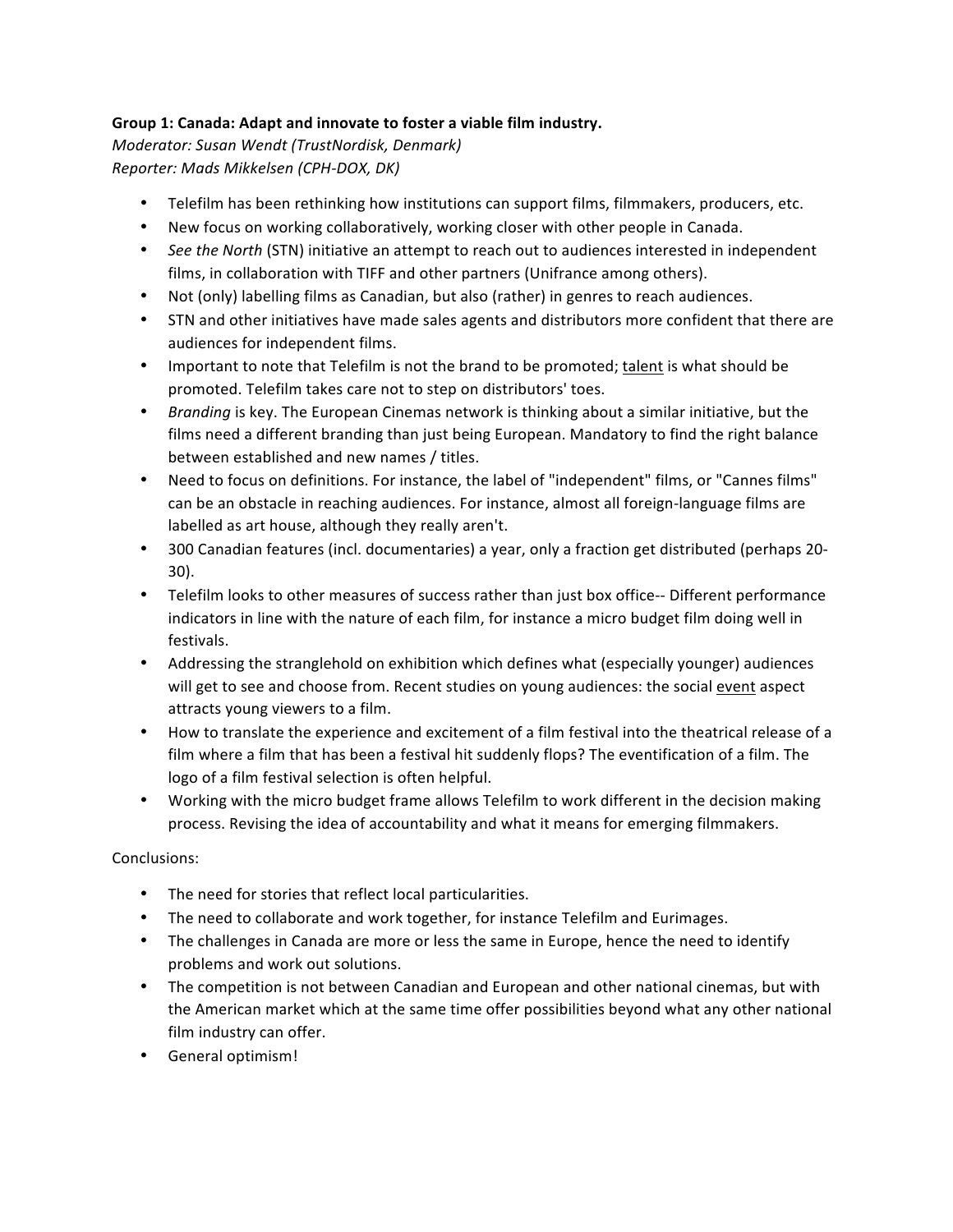# Group 1: Canada: Adapt and innovate to foster a viable film industry.

*Moderator: Susan Wendt (TrustNordisk, Denmark) Reporter: Mads Mikkelsen (CPH-DOX, DK)*

- Telefilm has been rethinking how institutions can support films, filmmakers, producers, etc.
- New focus on working collaboratively, working closer with other people in Canada.
- See the North (STN) initiative an attempt to reach out to audiences interested in independent films, in collaboration with TIFF and other partners (Unifrance among others).
- Not (only) labelling films as Canadian, but also (rather) in genres to reach audiences.
- STN and other initiatives have made sales agents and distributors more confident that there are audiences for independent films.
- Important to note that Telefilm is not the brand to be promoted; talent is what should be promoted. Telefilm takes care not to step on distributors' toes.
- *Branding* is key. The European Cinemas network is thinking about a similar initiative, but the films need a different branding than just being European. Mandatory to find the right balance between established and new names / titles.
- Need to focus on definitions. For instance, the label of "independent" films, or "Cannes films" can be an obstacle in reaching audiences. For instance, almost all foreign-language films are labelled as art house, although they really aren't.
- 300 Canadian features (incl. documentaries) a year, only a fraction get distributed (perhaps 20-30).
- Telefilm looks to other measures of success rather than just box office-- Different performance indicators in line with the nature of each film, for instance a micro budget film doing well in festivals.
- Addressing the stranglehold on exhibition which defines what (especially younger) audiences will get to see and choose from. Recent studies on young audiences: the social event aspect attracts young viewers to a film.
- How to translate the experience and excitement of a film festival into the theatrical release of a film where a film that has been a festival hit suddenly flops? The eventification of a film. The logo of a film festival selection is often helpful.
- Working with the micro budget frame allows Telefilm to work different in the decision making process. Revising the idea of accountability and what it means for emerging filmmakers.

Conclusions:

- The need for stories that reflect local particularities.
- The need to collaborate and work together, for instance Telefilm and Eurimages.
- The challenges in Canada are more or less the same in Europe, hence the need to identify problems and work out solutions.
- The competition is not between Canadian and European and other national cinemas, but with the American market which at the same time offer possibilities beyond what any other national film industry can offer.
- General optimism!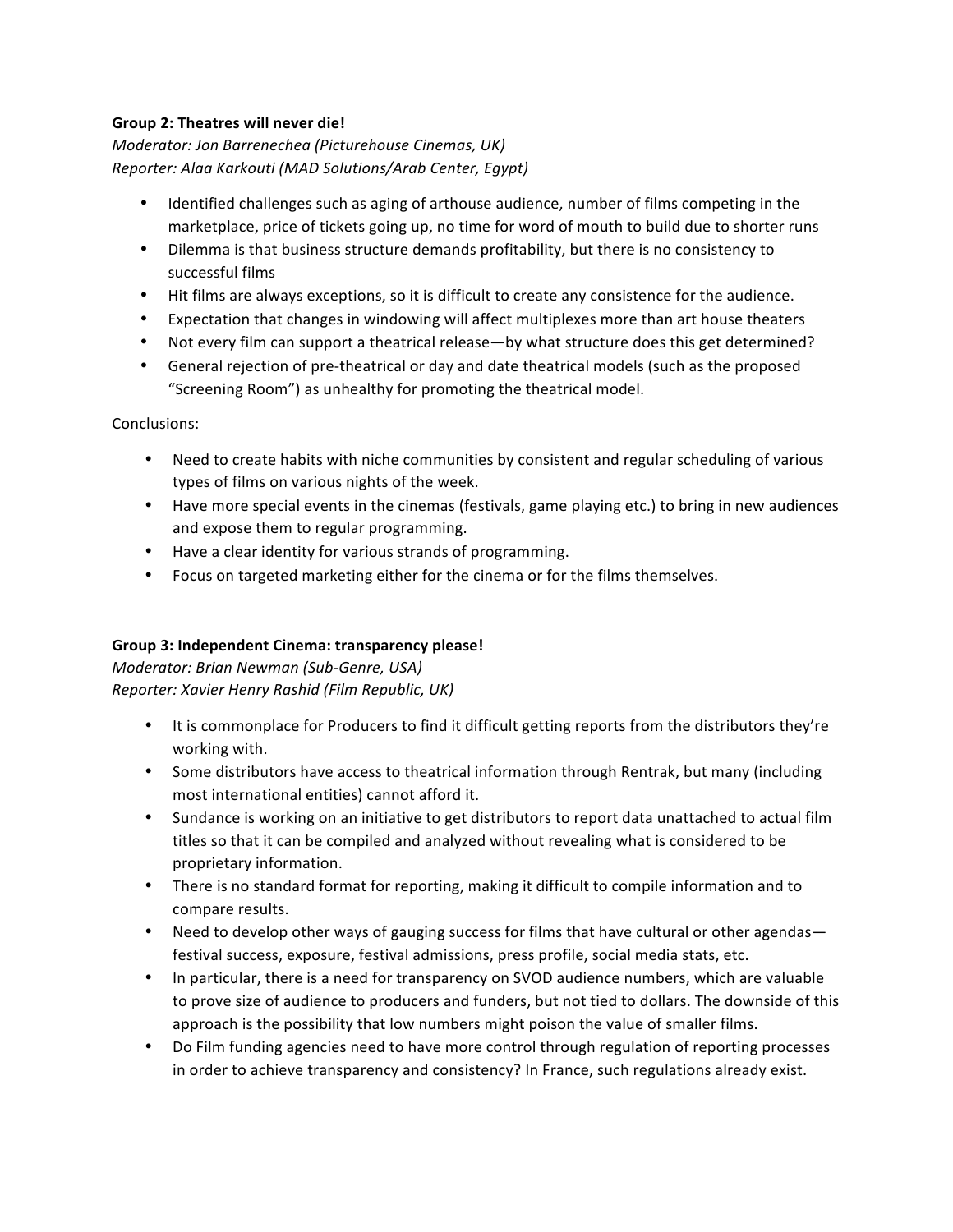#### Group 2: Theatres will never die!

*Moderator: Jon Barrenechea (Picturehouse Cinemas, UK) Reporter: Alaa Karkouti (MAD Solutions/Arab Center, Egypt)*

- Identified challenges such as aging of arthouse audience, number of films competing in the marketplace, price of tickets going up, no time for word of mouth to build due to shorter runs
- Dilemma is that business structure demands profitability, but there is no consistency to successful films
- Hit films are always exceptions, so it is difficult to create any consistence for the audience.
- Expectation that changes in windowing will affect multiplexes more than art house theaters
- Not every film can support a theatrical release—by what structure does this get determined?
- General rejection of pre-theatrical or day and date theatrical models (such as the proposed "Screening Room") as unhealthy for promoting the theatrical model.

Conclusions:

- Need to create habits with niche communities by consistent and regular scheduling of various types of films on various nights of the week.
- Have more special events in the cinemas (festivals, game playing etc.) to bring in new audiences and expose them to regular programming.
- Have a clear identity for various strands of programming.
- Focus on targeted marketing either for the cinema or for the films themselves.

# Group 3: Independent Cinema: transparency please!

*Moderator: Brian Newman (Sub-Genre, USA) Reporter: Xavier Henry Rashid (Film Republic, UK)*

- It is commonplace for Producers to find it difficult getting reports from the distributors they're working with.
- Some distributors have access to theatrical information through Rentrak, but many (including most international entities) cannot afford it.
- Sundance is working on an initiative to get distributors to report data unattached to actual film titles so that it can be compiled and analyzed without revealing what is considered to be proprietary information.
- There is no standard format for reporting, making it difficult to compile information and to compare results.
- Need to develop other ways of gauging success for films that have cultural or other agendas festival success, exposure, festival admissions, press profile, social media stats, etc.
- In particular, there is a need for transparency on SVOD audience numbers, which are valuable to prove size of audience to producers and funders, but not tied to dollars. The downside of this approach is the possibility that low numbers might poison the value of smaller films.
- Do Film funding agencies need to have more control through regulation of reporting processes in order to achieve transparency and consistency? In France, such regulations already exist.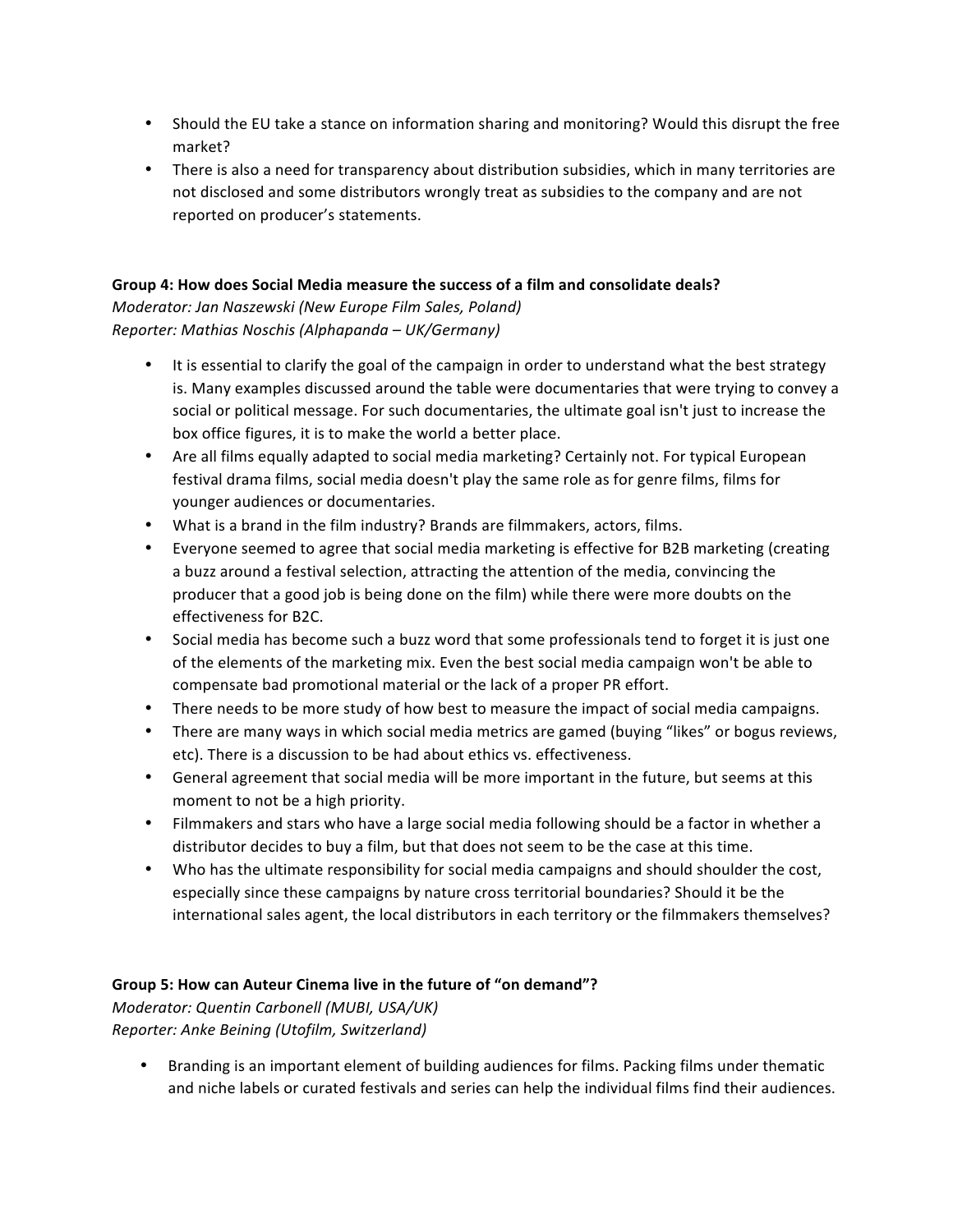- Should the EU take a stance on information sharing and monitoring? Would this disrupt the free market?
- There is also a need for transparency about distribution subsidies, which in many territories are not disclosed and some distributors wrongly treat as subsidies to the company and are not reported on producer's statements.

#### Group 4: How does Social Media measure the success of a film and consolidate deals?

*Moderator: Jan Naszewski (New Europe Film Sales, Poland) Reporter: Mathias Noschis (Alphapanda – UK/Germany)*

- It is essential to clarify the goal of the campaign in order to understand what the best strategy is. Many examples discussed around the table were documentaries that were trying to convey a social or political message. For such documentaries, the ultimate goal isn't just to increase the box office figures, it is to make the world a better place.
- Are all films equally adapted to social media marketing? Certainly not. For typical European festival drama films, social media doesn't play the same role as for genre films, films for younger audiences or documentaries.
- What is a brand in the film industry? Brands are filmmakers, actors, films.
- Everyone seemed to agree that social media marketing is effective for B2B marketing (creating a buzz around a festival selection, attracting the attention of the media, convincing the producer that a good job is being done on the film) while there were more doubts on the effectiveness for B2C.
- Social media has become such a buzz word that some professionals tend to forget it is just one of the elements of the marketing mix. Even the best social media campaign won't be able to compensate bad promotional material or the lack of a proper PR effort.
- There needs to be more study of how best to measure the impact of social media campaigns.
- There are many ways in which social media metrics are gamed (buying "likes" or bogus reviews, etc). There is a discussion to be had about ethics vs. effectiveness.
- General agreement that social media will be more important in the future, but seems at this moment to not be a high priority.
- Filmmakers and stars who have a large social media following should be a factor in whether a distributor decides to buy a film, but that does not seem to be the case at this time.
- Who has the ultimate responsibility for social media campaigns and should shoulder the cost, especially since these campaigns by nature cross territorial boundaries? Should it be the international sales agent, the local distributors in each territory or the filmmakers themselves?

# Group 5: How can Auteur Cinema live in the future of "on demand"?

*Moderator: Quentin Carbonell (MUBI, USA/UK) Reporter: Anke Beining (Utofilm, Switzerland)*

• Branding is an important element of building audiences for films. Packing films under thematic and niche labels or curated festivals and series can help the individual films find their audiences.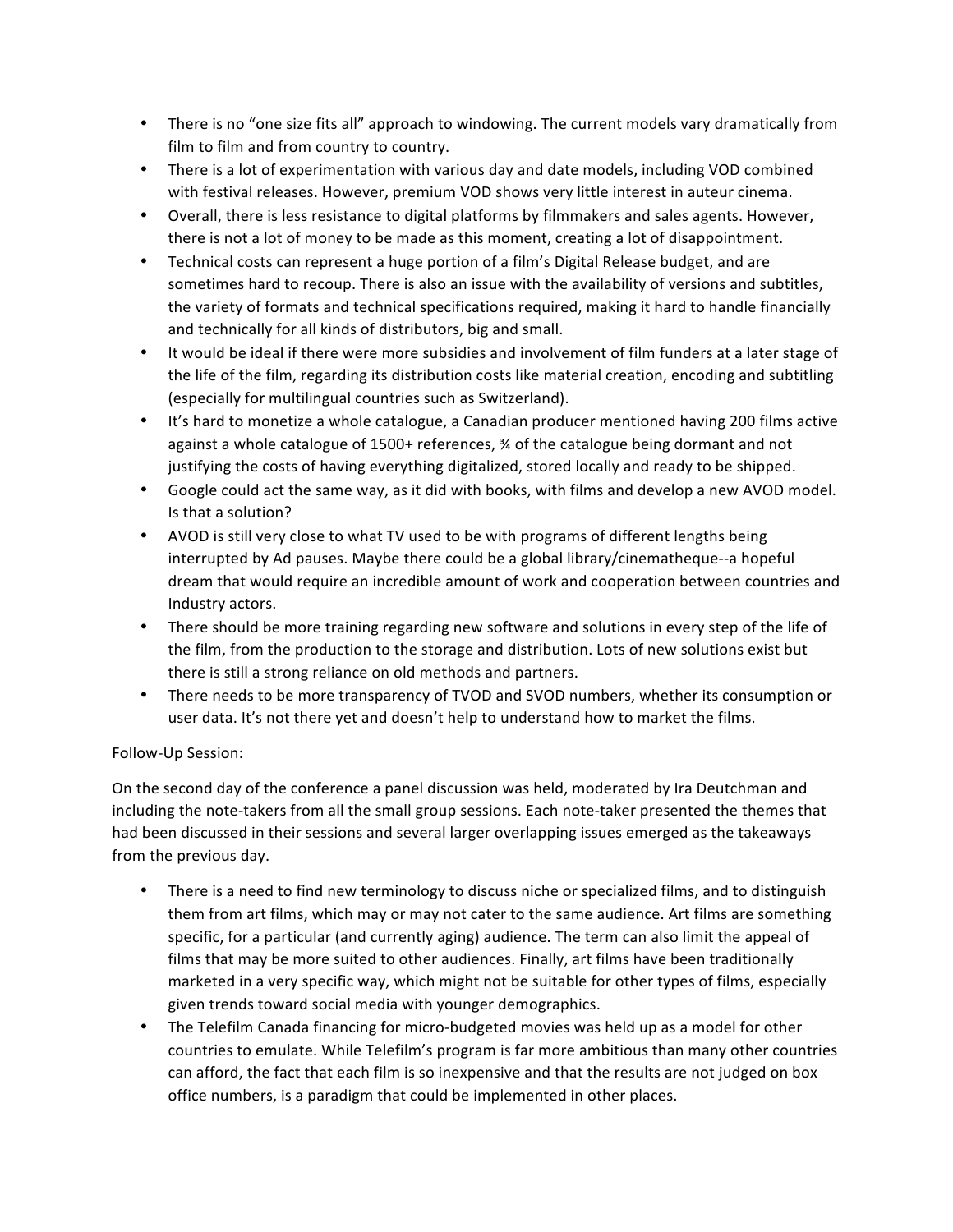- There is no "one size fits all" approach to windowing. The current models vary dramatically from film to film and from country to country.
- There is a lot of experimentation with various day and date models, including VOD combined with festival releases. However, premium VOD shows very little interest in auteur cinema.
- Overall, there is less resistance to digital platforms by filmmakers and sales agents. However, there is not a lot of money to be made as this moment, creating a lot of disappointment.
- Technical costs can represent a huge portion of a film's Digital Release budget, and are sometimes hard to recoup. There is also an issue with the availability of versions and subtitles, the variety of formats and technical specifications required, making it hard to handle financially and technically for all kinds of distributors, big and small.
- It would be ideal if there were more subsidies and involvement of film funders at a later stage of the life of the film, regarding its distribution costs like material creation, encoding and subtitling (especially for multilingual countries such as Switzerland).
- It's hard to monetize a whole catalogue, a Canadian producer mentioned having 200 films active against a whole catalogue of 1500+ references,  $\frac{3}{4}$  of the catalogue being dormant and not justifying the costs of having everything digitalized, stored locally and ready to be shipped.
- Google could act the same way, as it did with books, with films and develop a new AVOD model. Is that a solution?
- AVOD is still very close to what TV used to be with programs of different lengths being interrupted by Ad pauses. Maybe there could be a global library/cinematheque--a hopeful dream that would require an incredible amount of work and cooperation between countries and Industry actors.
- There should be more training regarding new software and solutions in every step of the life of the film, from the production to the storage and distribution. Lots of new solutions exist but there is still a strong reliance on old methods and partners.
- There needs to be more transparency of TVOD and SVOD numbers, whether its consumption or user data. It's not there yet and doesn't help to understand how to market the films.

# Follow-Up Session:

On the second day of the conference a panel discussion was held, moderated by Ira Deutchman and including the note-takers from all the small group sessions. Each note-taker presented the themes that had been discussed in their sessions and several larger overlapping issues emerged as the takeaways from the previous day.

- There is a need to find new terminology to discuss niche or specialized films, and to distinguish them from art films, which may or may not cater to the same audience. Art films are something specific, for a particular (and currently aging) audience. The term can also limit the appeal of films that may be more suited to other audiences. Finally, art films have been traditionally marketed in a very specific way, which might not be suitable for other types of films, especially given trends toward social media with younger demographics.
- The Telefilm Canada financing for micro-budgeted movies was held up as a model for other countries to emulate. While Telefilm's program is far more ambitious than many other countries can afford, the fact that each film is so inexpensive and that the results are not judged on box office numbers, is a paradigm that could be implemented in other places.